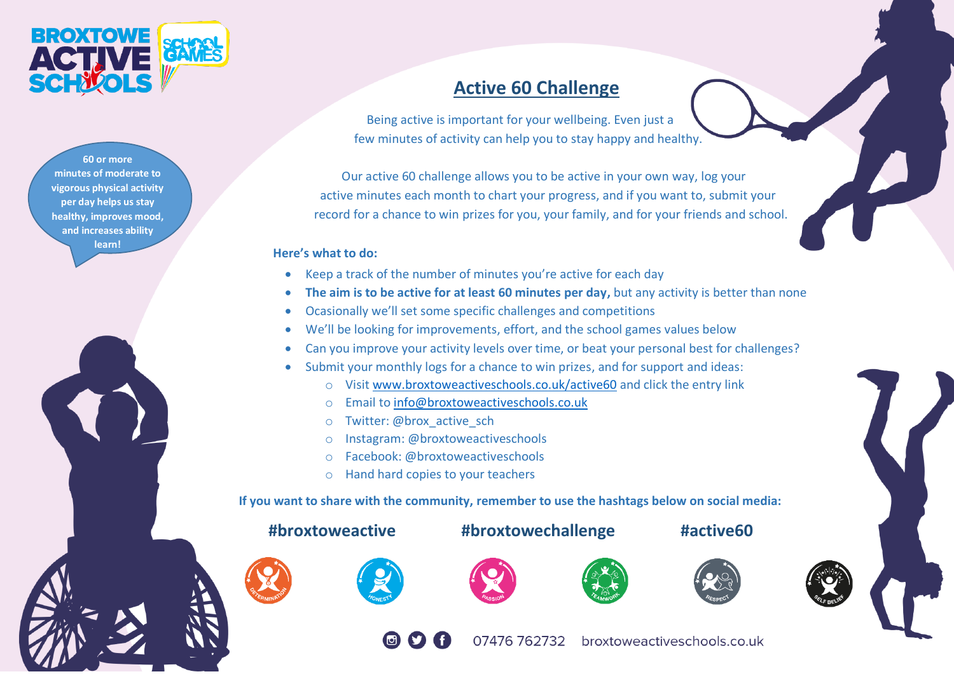

**60 or more minutes of moderate to vigorous physical activity per day helps us stay healthy, improves mood, and increases ability learn!**



Being active is important for your wellbeing. Even just a few minutes of activity can help you to stay happy and healthy.

 Our active 60 challenge allows you to be active in your own way, log your active minutes each month to chart your progress, and if you want to, submit your record for a chance to win prizes for you, your family, and for your friends and school.

## **Here's what to do:**

- Keep a track of the number of minutes you're active for each day
- **The aim is to be active for at least 60 minutes per day,** but any activity is better than none
- Ocasionally we'll set some specific challenges and competitions
- We'll be looking for improvements, effort, and the school games values below
- Can you improve your activity levels over time, or beat your personal best for challenges?
- Submit your monthly logs for a chance to win prizes, and for support and ideas:
	- o Visi[t www.broxtoweactiveschools.co.uk/active60](http://www.broxtoweactiveschools.co.uk/active60) and click the entry link
	- o Email to [info@broxtoweactiveschools.co.uk](mailto:info@broxtoweactiveschools.co.uk)
	- o Twitter: @brox active sch
	- o Instagram: @broxtoweactiveschools
	- o Facebook: @broxtoweactiveschools
	- o Hand hard copies to your teachers

 **If you want to share with the community, remember to use the hashtags below on social media:**

## **#broxtoweactive #broxtowechallenge #active60**













07476 762732 broxtoweactiveschools.co.uk